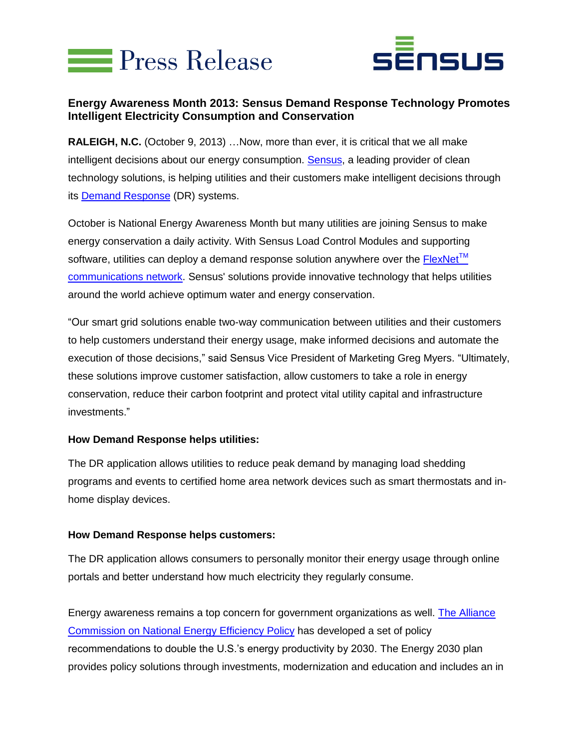



# **Energy Awareness Month 2013: Sensus Demand Response Technology Promotes Intelligent Electricity Consumption and Conservation**

**RALEIGH, N.C.** (October 9, 2013) …Now, more than ever, it is critical that we all make intelligent decisions about our energy consumption. [Sensus,](http://www.sensus.com/) a leading provider of clean technology solutions, is helping utilities and their customers make intelligent decisions through its [Demand Response](http://sensus.com/demandresponse) (DR) systems.

October is National Energy Awareness Month but many utilities are joining Sensus to make energy conservation a daily activity. With Sensus Load Control Modules and supporting software, utilities can deploy a demand response solution anywhere over the  $FlexNet^{TM}$ [communications network.](http://www.sensus.com/nextgen) Sensus' solutions provide innovative technology that helps utilities around the world achieve optimum water and energy conservation.

"Our smart grid solutions enable two-way communication between utilities and their customers to help customers understand their energy usage, make informed decisions and automate the execution of those decisions," said Sensus Vice President of Marketing Greg Myers. "Ultimately, these solutions improve customer satisfaction, allow customers to take a role in energy conservation, reduce their carbon footprint and protect vital utility capital and infrastructure investments."

## **How Demand Response helps utilities:**

The DR application allows utilities to reduce peak demand by managing load shedding programs and events to certified home area network devices such as smart thermostats and inhome display devices.

#### **How Demand Response helps customers:**

The DR application allows consumers to personally monitor their energy usage through online portals and better understand how much electricity they regularly consume.

Energy awareness remains a top concern for government organizations as well. [The Alliance](http://www.ase.org/programs/ee-commission)  [Commission on National](http://www.ase.org/programs/ee-commission) Energy Efficiency Policy has developed a set of policy recommendations to double the U.S.'s energy productivity by 2030. The Energy 2030 plan provides policy solutions through investments, modernization and education and includes an in